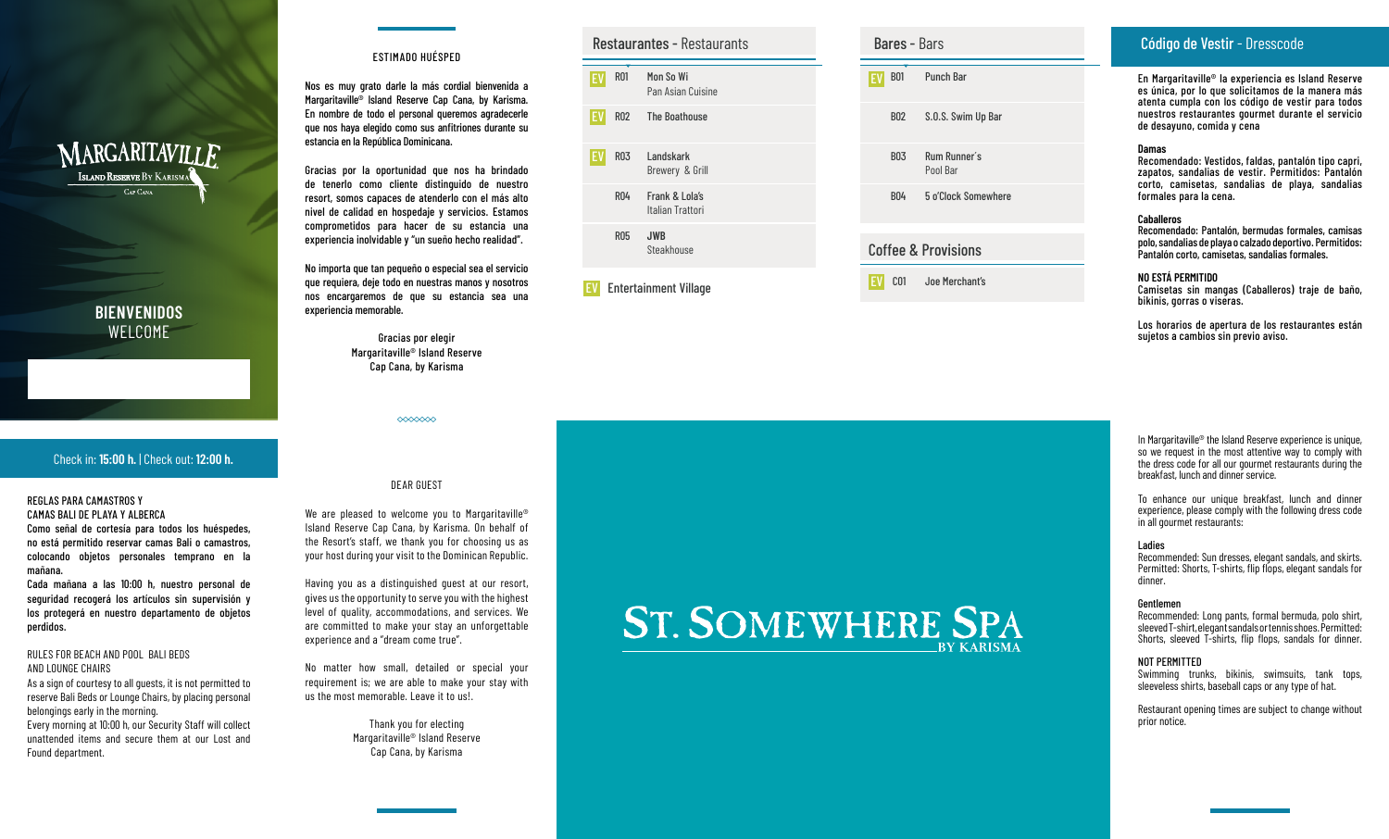# MARGARITAVILLE **ISLAND RESERVE BY KARISMA** CAP CANA

# **BIENVENIDOS** WELCOME

## Check in: **15:00 h.**  | Check out: **12:00 h.**

#### REGLAS PARA CAMASTROS Y CAMAS BALI DE PLAYA Y ALBERCA

Como señal de cortesía para todos los huéspedes, no está permitido reservar camas Bali o camastros, colocando objetos personales temprano en la mañana.

Cada mañana a las 10:00 h, nuestro personal de seguridad recogerá los artículos sin supervisión y los protegerá en nuestro departamento de objetos perdidos.

#### RULES FOR BEACH AND POOL BALI BEDS AND LOUNGE CHAIRS

As a sign of courtesy to all guests, it is not permitted to reserve Bali Beds or Lounge Chairs, by placing personal belongings early in the morning. Every morning at 10:00 h, our Security Staff will collect unattended items and secure them at our Lost and Found department.

## ESTIMADO HUÉSPED

Nos es muy grato darle la más cordial bienvenida a Margaritaville® Island Reserve Cap Cana, by Karisma. En nombre de todo el personal queremos agradecerle que nos haya elegido como sus anfitriones durante su estancia en la República Dominicana.

Gracias por la oportunidad que nos ha brindado de tenerlo como cliente distinguido de nuestro resort, somos capaces de atenderlo con el más alto nivel de calidad en hospedaje y servicios. Estamos comprometidos para hacer de su estancia una experiencia inolvidable y "un sueño hecho realidad".

No importa que tan pequeño o especial sea el servicio que requiera, deje todo en nuestras manos y nosotros nos encargaremos de que su estancia sea una experiencia memorable.

> Gracias por elegir Margaritaville® Island Reserve Cap Cana, by Karisma

> > $\infty$

## DEAR GUEST

We are pleased to welcome you to Margaritaville<sup>®</sup> Island Reserve Cap Cana, by Karisma. On behalf of the Resort's staff, we thank you for choosing us as your host during your visit to the Dominican Republic.

Having you as a distinguished guest at our resort, gives us the opportunity to serve you with the highest level of quality, accommodations, and services. We are committed to make your stay an unforgettable experience and a "dream come true".

No matter how small, detailed or special your requirement is; we are able to make your stay with us the most memorable. Leave it to us!.

> Thank you for electing Margaritaville® Island Reserve Cap Cana, by Karisma

## Restaurantes - Restaurants

R01 R02 EV ROI Mon So Wi Pan Asian Cuisine The Boathouse EV

Italian Trattori

Steakhouse

- R03 Landskark
- R04 Brewery & Grill Frank & Lola's

EV

R05 **JWB**

Entertainment Village EV EV

|                                | <b>Bares - Bars</b>      |  |
|--------------------------------|--------------------------|--|
| EV                             | B01 Punch Bar            |  |
| B02                            | S.O.S. Swim Up Bar       |  |
| <b>BO3</b>                     | Rum Runner's<br>Pool Bar |  |
| <b>BO4</b>                     | 5 o'Clock Somewhere      |  |
| <b>Coffee &amp; Provisions</b> |                          |  |
|                                |                          |  |

C01 Joe Merchant's

# Código de Vestir - Dresscode

En Margaritaville ® la experiencia es Island Reserve es única, por lo que solicitamos de la manera más atenta cumpla con los código de vestir para todos nuestros restaurantes gourmet durante el servicio de desayuno, comida y cena

#### **Damas**

Recomendado: Vestidos, faldas, pantalón tipo capri, zapatos, sandalias de vestir. Permitidos: Pantalón corto, camisetas, sandalias de playa, sandalias formales para la cena.

#### **Caballeros**

Recomendado: Pantalón, bermudas formales, camisas polo, sandalias de playa o calzado deportivo. Permitidos: Pantalón corto, camisetas, sandalias formales.

#### **NO ESTÁ PERMITIDO**

Camisetas sin mangas (Caballeros) traje de baño, bikinis, gorras o viseras.

Los horarios de apertura de los restaurantes están sujetos a cambios sin previo aviso.

#### In Margaritaville® the Island Reserve experience is unique, so we request in the most attentive way to comply with the dress code for all our gourmet restaurants during the breakfast, lunch and dinner service.

To enhance our unique breakfast, lunch and dinner experience, please comply with the following dress code in all gourmet restaurants:

#### Ladies

Recommended: Sun dresses, elegant sandals, and skirts. Permitted: Shorts, T-shirts, flip flops, elegant sandals for dinner.

#### Gentlemen

Recommended: Long pants, formal bermuda, polo shirt, sleeved T-shirt, elegant sandals or tennis shoes. Permitted: Shorts, sleeved T-shirts, flip flops, sandals for dinner.

#### NOT PERMITTED

Swimming trunks, bikinis, swimsuits, tank tops, sleeveless shirts, baseball caps or any type of hat.

Restaurant opening times are subject to change without prior notice.

# **ST. SOMEWHERE SPA**